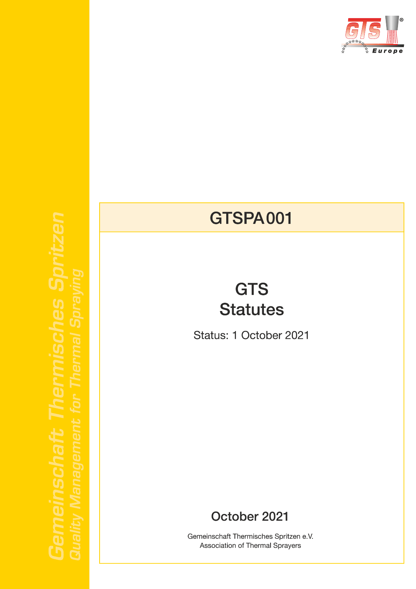

# **GTSPA001**

# **GTS Statutes**

Status: 1 October 2021

### October 2021

Gemeinschaft Thermisches Spritzen e.V. Association of Thermal Sprayers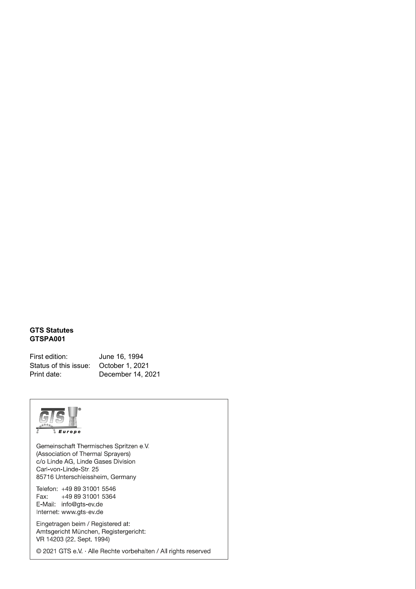#### **GTS Statutes GTSPA001**

First edition: June 16, 1994 Status of this issue: October 1, 2021 Print date: December 14, 2021



Gemeinschaft Thermisches Spritzen e.V. (Association of Thermal Sprayers) c/o Linde AG, Linde Gases Division Carl-von-Linde-Str. 25 85716 Unterschleissheim, Germany

Telefon: +49 89 31001 5546 +49 89 31001 5364 Fax: E-Mail: info@gts-ev.de Internet: www.gts-ev.de

Eingetragen beim / Registered at: Amtsgericht München, Registergericht: VR 14203 (22. Sept. 1994)

© 2021 GTS e.V. · Alle Rechte vorbehalten / All rights reserved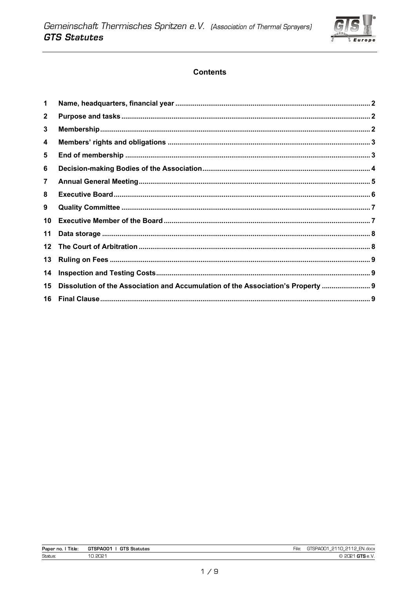

### **Contents**

| $\mathbf{1}$     |                                                                                  |  |
|------------------|----------------------------------------------------------------------------------|--|
| $\mathbf 2$      |                                                                                  |  |
| 3                |                                                                                  |  |
| 4                |                                                                                  |  |
| 5                |                                                                                  |  |
| 6                |                                                                                  |  |
| $\overline{7}$   |                                                                                  |  |
| 8                |                                                                                  |  |
| 9                |                                                                                  |  |
| 10               |                                                                                  |  |
| 11               |                                                                                  |  |
| 12 <sup>12</sup> |                                                                                  |  |
| 13               |                                                                                  |  |
| 14               |                                                                                  |  |
| 15 <sub>1</sub>  | Dissolution of the Association and Accumulation of the Association's Property  9 |  |
|                  |                                                                                  |  |

| Title:<br>Paper no. | GTSPA001<br><b>GTS</b><br>` Statutes | ·ıle: | EN.docx<br>2110<br>2112<br>. .<br>$\overline{\phantom{a}}$<br>-- |
|---------------------|--------------------------------------|-------|------------------------------------------------------------------|
| Status:             | 0.2021                               |       | $\sim$                                                           |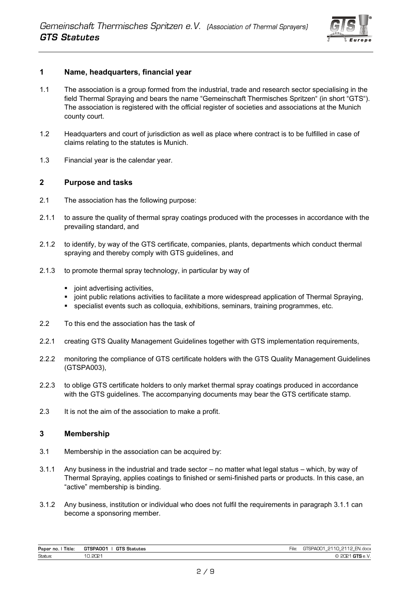

#### <span id="page-3-0"></span>**1 Name, headquarters, financial year**

- 1.1 The association is a group formed from the industrial, trade and research sector specialising in the field Thermal Spraying and bears the name "Gemeinschaft Thermisches Spritzen" (in short "GTS"). The association is registered with the official register of societies and associations at the Munich county court.
- 1.2 Headquarters and court of jurisdiction as well as place where contract is to be fulfilled in case of claims relating to the statutes is Munich.
- 1.3 Financial year is the calendar year.

#### <span id="page-3-1"></span>**2 Purpose and tasks**

- 2.1 The association has the following purpose:
- 2.1.1 to assure the quality of thermal spray coatings produced with the processes in accordance with the prevailing standard, and
- 2.1.2 to identify, by way of the GTS certificate, companies, plants, departments which conduct thermal spraying and thereby comply with GTS guidelines, and
- 2.1.3 to promote thermal spray technology, in particular by way of
	- joint advertising activities,
	- joint public relations activities to facilitate a more widespread application of Thermal Spraying,
	- specialist events such as colloquia, exhibitions, seminars, training programmes, etc.
- 2.2 To this end the association has the task of
- 2.2.1 creating GTS Quality Management Guidelines together with GTS implementation requirements,
- 2.2.2 monitoring the compliance of GTS certificate holders with the GTS Quality Management Guidelines (GTSPA003),
- 2.2.3 to oblige GTS certificate holders to only market thermal spray coatings produced in accordance with the GTS guidelines. The accompanying documents may bear the GTS certificate stamp.
- 2.3 It is not the aim of the association to make a profit.

#### <span id="page-3-2"></span>**3 Membership**

- 3.1 Membership in the association can be acquired by:
- 3.1.1 Any business in the industrial and trade sector no matter what legal status which, by way of Thermal Spraying, applies coatings to finished or semi-finished parts or products. In this case, an "active" membership is binding.
- 3.1.2 Any business, institution or individual who does not fulfil the requirements in paragraph 3.1.1 can become a sponsoring member.

| Paper no.<br>Title: | GTSPA001 I<br><b>GTS Statutes</b> | File: | GTSPA001 2110 2112 EN.docx |
|---------------------|-----------------------------------|-------|----------------------------|
| Status:             | 10.2021                           |       | 2021 GTS e.V.<br>$\sim$    |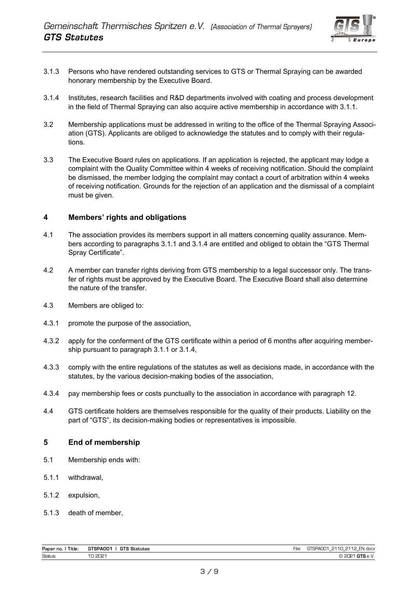

- 3.1.3 Persons who have rendered outstanding services to GTS or Thermal Spraying can be awarded honorary membership by the Executive Board.
- 3.1.4 Institutes, research facilities and R&D departments involved with coating and process development in the field of Thermal Spraying can also acquire active membership in accordance with 3.1.1.
- 3.2 Membership applications must be addressed in writing to the office of the Thermal Spraying Association (GTS). Applicants are obliged to acknowledge the statutes and to comply with their regulations.
- 3.3 The Executive Board rules on applications. If an application is rejected, the applicant may lodge a complaint with the Quality Committee within 4 weeks of receiving notification. Should the complaint be dismissed, the member lodging the complaint may contact a court of arbitration within 4 weeks of receiving notification. Grounds for the rejection of an application and the dismissal of a complaint must be given.

#### <span id="page-4-0"></span>**4 Members' rights and obligations**

- 4.1 The association provides its members support in all matters concerning quality assurance. Members according to paragraphs 3.1.1 and 3.1.4 are entitled and obliged to obtain the "GTS Thermal Spray Certificate".
- 4.2 A member can transfer rights deriving from GTS membership to a legal successor only. The transfer of rights must be approved by the Executive Board. The Executive Board shall also determine the nature of the transfer.
- 4.3 Members are obliged to:
- 4.3.1 promote the purpose of the association,
- 4.3.2 apply for the conferment of the GTS certificate within a period of 6 months after acquiring membership pursuant to paragraph 3.1.1 or 3.1.4,
- 4.3.3 comply with the entire regulations of the statutes as well as decisions made, in accordance with the statutes, by the various decision-making bodies of the association,
- 4.3.4 pay membership fees or costs punctually to the association in accordance with paragraph 12.
- 4.4 GTS certificate holders are themselves responsible for the quality of their products. Liability on the part of "GTS", its decision-making bodies or representatives is impossible.

#### <span id="page-4-1"></span>**5 End of membership**

- 5.1 Membership ends with:
- 5.1.1 withdrawal,
- 5.1.2 expulsion,
- 5.1.3 death of member,

| Paper no.<br>Title: | <b>GTS Statutes</b><br><b>STSPA001</b> | $-$<br>File | EN.docx<br>0110<br>2110<br>GTSPAC<br>╯<br>$\overline{\phantom{a}}$<br>$\sim$<br>$-$ |
|---------------------|----------------------------------------|-------------|-------------------------------------------------------------------------------------|
| <b>Status</b>       | non.<br>∼<br>.                         |             | $\sim$<br>.<br>_____                                                                |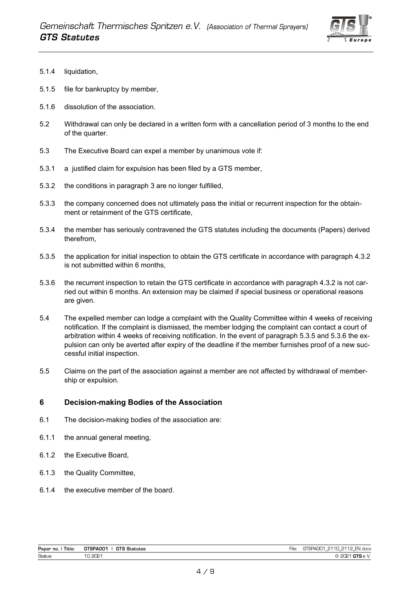

- 5.1.4 liquidation,
- 5.1.5 file for bankruptcy by member,
- 5.1.6 dissolution of the association.
- 5.2 Withdrawal can only be declared in a written form with a cancellation period of 3 months to the end of the quarter.
- 5.3 The Executive Board can expel a member by unanimous vote if:
- 5.3.1 a justified claim for expulsion has been filed by a GTS member,
- 5.3.2 the conditions in paragraph 3 are no longer fulfilled,
- 5.3.3 the company concerned does not ultimately pass the initial or recurrent inspection for the obtainment or retainment of the GTS certificate,
- 5.3.4 the member has seriously contravened the GTS statutes including the documents (Papers) derived therefrom,
- 5.3.5 the application for initial inspection to obtain the GTS certificate in accordance with paragraph 4.3.2 is not submitted within 6 months,
- 5.3.6 the recurrent inspection to retain the GTS certificate in accordance with paragraph 4.3.2 is not carried out within 6 months. An extension may be claimed if special business or operational reasons are given.
- 5.4 The expelled member can lodge a complaint with the Quality Committee within 4 weeks of receiving notification. If the complaint is dismissed, the member lodging the complaint can contact a court of arbitration within 4 weeks of receiving notification. In the event of paragraph 5.3.5 and 5.3.6 the expulsion can only be averted after expiry of the deadline if the member furnishes proof of a new successful initial inspection.
- 5.5 Claims on the part of the association against a member are not affected by withdrawal of membership or expulsion.

#### <span id="page-5-0"></span>**6 Decision-making Bodies of the Association**

- 6.1 The decision-making bodies of the association are:
- 6.1.1 the annual general meeting,
- 6.1.2 the Executive Board,
- 6.1.3 the Quality Committee,
- 6.1.4 the executive member of the board.

| Title:<br>Paper no. . | <b>GTS Statutes</b><br>GTSPANN1 | e | 2110 2112<br>GTSPANN1<br>EN.docx<br>-<br>. .<br>$\sim$ |
|-----------------------|---------------------------------|---|--------------------------------------------------------|
| Status                | 2021<br>$\sim$                  |   | $4$ GTS e.V.<br>noo 4<br>cuc.                          |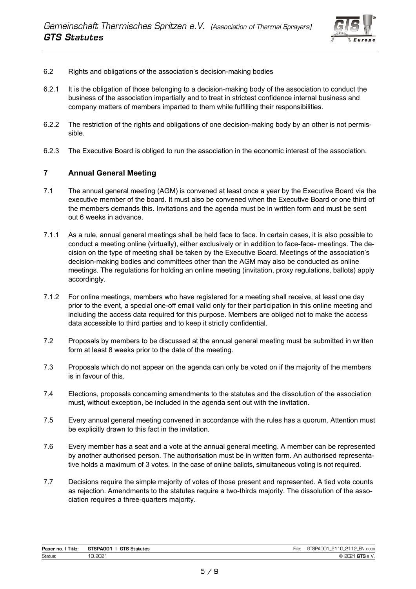

- 6.2 Rights and obligations of the association's decision-making bodies
- 6.2.1 It is the obligation of those belonging to a decision-making body of the association to conduct the business of the association impartially and to treat in strictest confidence internal business and company matters of members imparted to them while fulfilling their responsibilities.
- 6.2.2 The restriction of the rights and obligations of one decision-making body by an other is not permissible.
- 6.2.3 The Executive Board is obliged to run the association in the economic interest of the association.

#### <span id="page-6-0"></span>**7 Annual General Meeting**

- 7.1 The annual general meeting (AGM) is convened at least once a year by the Executive Board via the executive member of the board. It must also be convened when the Executive Board or one third of the members demands this. Invitations and the agenda must be in written form and must be sent out 6 weeks in advance.
- 7.1.1 As a rule, annual general meetings shall be held face to face. In certain cases, it is also possible to conduct a meeting online (virtually), either exclusively or in addition to face-face- meetings. The decision on the type of meeting shall be taken by the Executive Board. Meetings of the association's decision-making bodies and committees other than the AGM may also be conducted as online meetings. The regulations for holding an online meeting (invitation, proxy regulations, ballots) apply accordingly.
- 7.1.2 For online meetings, members who have registered for a meeting shall receive, at least one day prior to the event, a special one-off email valid only for their participation in this online meeting and including the access data required for this purpose. Members are obliged not to make the access data accessible to third parties and to keep it strictly confidential.
- 7.2 Proposals by members to be discussed at the annual general meeting must be submitted in written form at least 8 weeks prior to the date of the meeting.
- 7.3 Proposals which do not appear on the agenda can only be voted on if the majority of the members is in favour of this.
- 7.4 Elections, proposals concerning amendments to the statutes and the dissolution of the association must, without exception, be included in the agenda sent out with the invitation.
- 7.5 Every annual general meeting convened in accordance with the rules has a quorum. Attention must be explicitly drawn to this fact in the invitation.
- 7.6 Every member has a seat and a vote at the annual general meeting. A member can be represented by another authorised person. The authorisation must be in written form. An authorised representative holds a maximum of 3 votes. In the case of online ballots, simultaneous voting is not required.
- 7.7 Decisions require the simple majority of votes of those present and represented. A tied vote counts as rejection. Amendments to the statutes require a two-thirds majority. The dissolution of the association requires a three-quarters majority.

| Paper no.<br>Title: | GTSPA001<br><b>GTS Statutes</b> | $\sim$<br>2112 EN.docx<br>GTSPAOO1<br>211 O<br>⊢ıle.<br>$-$<br>--<br>-- |
|---------------------|---------------------------------|-------------------------------------------------------------------------|
| Status:             | 10.2021                         | $^4$ GTS e.V.<br>COO 4<br>⊵                                             |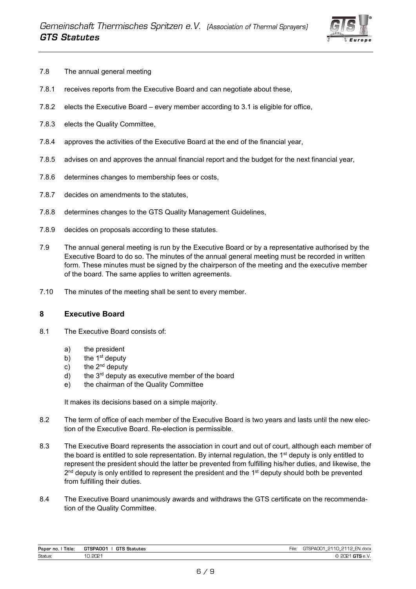

- 7.8 The annual general meeting
- 7.8.1 receives reports from the Executive Board and can negotiate about these,
- 7.8.2 elects the Executive Board every member according to 3.1 is eligible for office,
- 7.8.3 elects the Quality Committee,
- 7.8.4 approves the activities of the Executive Board at the end of the financial year,
- 7.8.5 advises on and approves the annual financial report and the budget for the next financial year,
- 7.8.6 determines changes to membership fees or costs,
- 7.8.7 decides on amendments to the statutes,
- 7.8.8 determines changes to the GTS Quality Management Guidelines,
- 7.8.9 decides on proposals according to these statutes.
- 7.9 The annual general meeting is run by the Executive Board or by a representative authorised by the Executive Board to do so. The minutes of the annual general meeting must be recorded in written form. These minutes must be signed by the chairperson of the meeting and the executive member of the board. The same applies to written agreements.
- 7.10 The minutes of the meeting shall be sent to every member.

#### <span id="page-7-0"></span>**8 Executive Board**

- 8.1 The Executive Board consists of:
	- a) the president
	- b) the  $1<sup>st</sup>$  deputy
	- c) the  $2^{nd}$  deputy
	- $d$ ) the 3<sup>rd</sup> deputy as executive member of the board
	- e) the chairman of the Quality Committee

It makes its decisions based on a simple majority.

- 8.2 The term of office of each member of the Executive Board is two years and lasts until the new election of the Executive Board. Re-election is permissible.
- 8.3 The Executive Board represents the association in court and out of court, although each member of the board is entitled to sole representation. By internal regulation, the 1<sup>st</sup> deputy is only entitled to represent the president should the latter be prevented from fulfilling his/her duties, and likewise, the 2<sup>nd</sup> deputy is only entitled to represent the president and the 1<sup>st</sup> deputy should both be prevented from fulfilling their duties.
- 8.4 The Executive Board unanimously awards and withdraws the GTS certificate on the recommendation of the Quality Committee.

| Paper no.<br>Title: | GTSPA001<br><b>GTS Statutes</b> | $-$<br>-ıle | <b>ENI</b><br>0110<br>2110<br><b>004</b><br>.N.docx<br><b>QDA</b><br>$\sim$<br>--<br>$-$ |
|---------------------|---------------------------------|-------------|------------------------------------------------------------------------------------------|
| Status:             | 2021                            |             | w                                                                                        |
|                     |                                 |             |                                                                                          |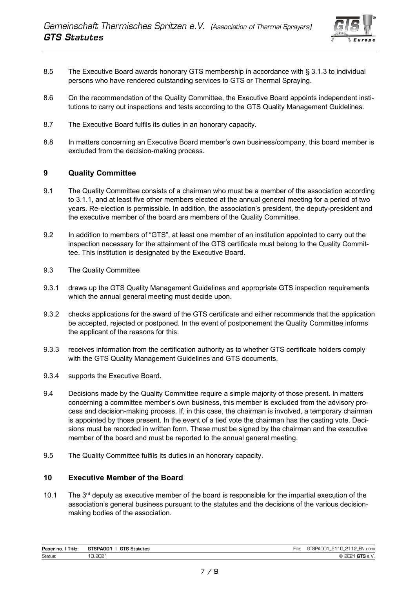

- 8.5 The Executive Board awards honorary GTS membership in accordance with § 3.1.3 to individual persons who have rendered outstanding services to GTS or Thermal Spraying.
- 8.6 On the recommendation of the Quality Committee, the Executive Board appoints independent institutions to carry out inspections and tests according to the GTS Quality Management Guidelines.
- 8.7 The Executive Board fulfils its duties in an honorary capacity.
- 8.8 In matters concerning an Executive Board member's own business/company, this board member is excluded from the decision-making process.

#### <span id="page-8-0"></span>**9 Quality Committee**

- 9.1 The Quality Committee consists of a chairman who must be a member of the association according to 3.1.1, and at least five other members elected at the annual general meeting for a period of two years. Re-election is permissible. In addition, the association's president, the deputy-president and the executive member of the board are members of the Quality Committee.
- 9.2 In addition to members of "GTS", at least one member of an institution appointed to carry out the inspection necessary for the attainment of the GTS certificate must belong to the Quality Committee. This institution is designated by the Executive Board.
- 9.3 The Quality Committee
- 9.3.1 draws up the GTS Quality Management Guidelines and appropriate GTS inspection requirements which the annual general meeting must decide upon.
- 9.3.2 checks applications for the award of the GTS certificate and either recommends that the application be accepted, rejected or postponed. In the event of postponement the Quality Committee informs the applicant of the reasons for this.
- 9.3.3 receives information from the certification authority as to whether GTS certificate holders comply with the GTS Quality Management Guidelines and GTS documents,
- 9.3.4 supports the Executive Board.
- 9.4 Decisions made by the Quality Committee require a simple majority of those present. In matters concerning a committee member's own business, this member is excluded from the advisory process and decision-making process. If, in this case, the chairman is involved, a temporary chairman is appointed by those present. In the event of a tied vote the chairman has the casting vote. Decisions must be recorded in written form. These must be signed by the chairman and the executive member of the board and must be reported to the annual general meeting.
- 9.5 The Quality Committee fulfils its duties in an honorary capacity.

#### <span id="page-8-1"></span>**10 Executive Member of the Board**

10.1 The 3<sup>rd</sup> deputy as executive member of the board is responsible for the impartial execution of the association's general business pursuant to the statutes and the decisions of the various decisionmaking bodies of the association.

| Paper no.<br>ntle <sup>.</sup> | <b>GTS Statutes</b><br><b>TSPAOO1</b> | -lle | <b>FN</b><br>0110<br>۵۸۳۳ ت<br>.<br>docx'.<br>. .<br>.<br>.<br>.<br>--<br>$\overline{\phantom{a}}$ |
|--------------------------------|---------------------------------------|------|----------------------------------------------------------------------------------------------------|
| <b>Status</b>                  | י מרוח ה'<br>--<br>___                |      | <br>.<br>the contract of the contract of the contract of                                           |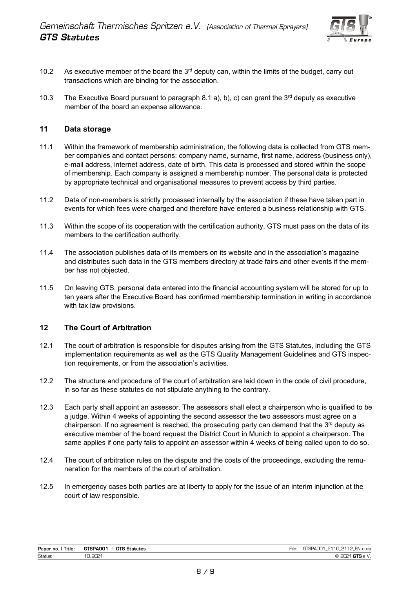

- 10.2 As executive member of the board the 3<sup>rd</sup> deputy can, within the limits of the budget, carry out transactions which are binding for the association.
- 10.3 The Executive Board pursuant to paragraph 8.1 a), b), c) can grant the  $3<sup>rd</sup>$  deputy as executive member of the board an expense allowance.

#### <span id="page-9-0"></span>**11 Data storage**

- 11.1 Within the framework of membership administration, the following data is collected from GTS member companies and contact persons: company name, surname, first name, address (business only), e-mail address, internet address, date of birth. This data is processed and stored within the scope of membership. Each company is assigned a membership number. The personal data is protected by appropriate technical and organisational measures to prevent access by third parties.
- 11.2 Data of non-members is strictly processed internally by the association if these have taken part in events for which fees were charged and therefore have entered a business relationship with GTS.
- 11.3 Within the scope of its cooperation with the certification authority, GTS must pass on the data of its members to the certification authority.
- 11.4 The association publishes data of its members on its website and in the association's magazine and distributes such data in the GTS members directory at trade fairs and other events if the member has not objected.
- 11.5 On leaving GTS, personal data entered into the financial accounting system will be stored for up to ten years after the Executive Board has confirmed membership termination in writing in accordance with tax law provisions.

#### <span id="page-9-1"></span>**12 The Court of Arbitration**

- 12.1 The court of arbitration is responsible for disputes arising from the GTS Statutes, including the GTS implementation requirements as well as the GTS Quality Management Guidelines and GTS inspection requirements, or from the association's activities.
- 12.2 The structure and procedure of the court of arbitration are laid down in the code of civil procedure, in so far as these statutes do not stipulate anything to the contrary.
- 12.3 Each party shall appoint an assessor. The assessors shall elect a chairperson who is qualified to be a judge. Within 4 weeks of appointing the second assessor the two assessors must agree on a chairperson. If no agreement is reached, the prosecuting party can demand that the 3<sup>rd</sup> deputy as executive member of the board request the District Court in Munich to appoint a chairperson. The same applies if one party fails to appoint an assessor within 4 weeks of being called upon to do so.
- 12.4 The court of arbitration rules on the dispute and the costs of the proceedings, excluding the remuneration for the members of the court of arbitration.
- 12.5 In emergency cases both parties are at liberty to apply for the issue of an interim injunction at the court of law responsible.

| Paper no.<br>Title: | <b>TSPANN1</b><br><b>GTS</b><br>Statutes<br>. تا | $-$<br>`∹ll∈. | <b>CALL</b><br>0.001<br>2112<br>0110<br>N.docx<br>- EN<br>ו וושר<br>--<br>$\overline{\phantom{a}}$<br>$\sim$ |
|---------------------|--------------------------------------------------|---------------|--------------------------------------------------------------------------------------------------------------|
| Status:             | יכ∩כ<br>ےب<br>◡.∟、                               |               | .                                                                                                            |